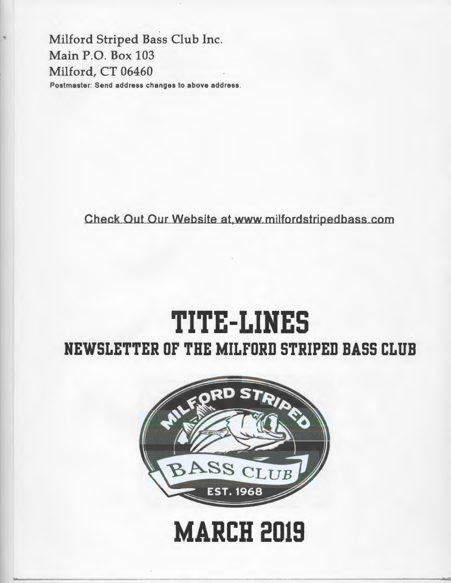Milford Striped Bass Club Inc. Main P.O. Box 103 Milford, CT 06460 Postmaster: Send address changes to above address.

### Check Out Our Website at,www milfordstripedbass com

# **TITE-LINES NEWSLETTER OF THE MILFORD STRIPED BASS CLUB**



# **MARCH 2019**

- --- - - - - - ---------~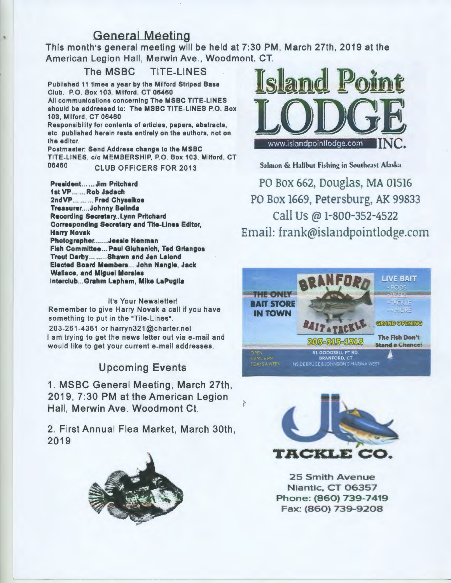#### General Meeting

This month's general meeting will be held at 7:30 PM, March 27th, 2019 at the American Legion Hall, Merwin Ave., Woodmont. CT.<br>
The MSBC TITE-LINES<br>
Published 11 times a vear by the Milford Striped Bass. **Tell and provident Property** 

The MSBC = TITE-LINES<br>
Published 11 times a year by the Milford Striped Bass<br>Club. P.O. Box 103, Milford, CT 06460<br>All communications concerning The MSBC TITE-LINES Published 11 times a year by the Milford Striped Bass<br>Club. P.O. Box 103, Milford, CT 06460<br>All communications concerning The MSBC TITE-LINES<br>ahould be addressed to: The MSBC TITE-LINES P.O. Box<br>103, Milford, CT 06460 103, Milford, CT 06460 \_ J Responsibility for contents of articles, papers, abstracts, etc. published herein rests entirely on the authors, not on the editor. The editor contract of the editor. Postmaster: Send Address change to the MSBC • TITE-LINES, c/o MEMBERSHIP, P.O. Box 103, Milford, CT 06460 CLUB OFFICERS FOR 2013 Salmon & Halibut Fishing in Southeast Alaska

President... ... Jim Pritchard 1st VP ...... Rob Jadach 2ndVP ......... Fred Chysslkos Treasurer....Johnny Belinda Recording Secretary..Lynn Pritchard **Corresponding Secretary and Tite-Lines Editor,** Harry Novak Photographer.......Jessie Henman Fish Committee... Paul Gluhanich, Ted Griangos Trout Derby ........ Shawn and Jen Lalond Elected Board Members... John Nangle, Jack Wallace, and Miguel Morales lnterclub ... Grahm Lapham, Mike LaPuglla

It's Your Newsletter! Remember to give Harry Novak a call if you have something to put in the "Tite-Lines".

203-261-4361 or harryn321 @charter. net I am trying to get the news letter out via e-mail and would like to get your current e-mail addresses.

#### Upcoming Events

1. MSBC General Meeting, March 27th, 2019, 7:30 PM at the American Legion Hall, Merwin Ave. Woodmont Ct.

2. First Annual Flea Market, March 30th, 2019





PO Box 662, Douglas, MA 01516 PO Box 1669, Petersburg, AK 99833 call Us @ 1-800-352-4522 Email: frank@islandpointlodge.com





25 Smith Avenue Niantic. CT 06357 Phone: (860) 739-7419 Fax: (860) 739-9208

- -- ------------ ---------------------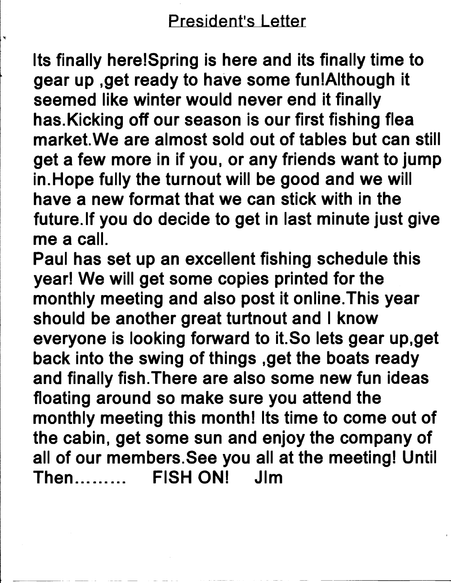## President's Letter

Its finally here!Spring is here and its finally time to gear up ,get ready to have some fun!Aithough it seemed like winter would never end it finally has. Kicking off our season is our first fishing flea market. We are almost sold out of tables but can still get a few more in if you, or any friends want to jump in.Hope fully the turnout will be good and we will have a new format that we can stick with in the future. If you do decide to get in last minute just give me a call.

Paul has set up an excellent fishing schedule this yearl We will get some copies printed for the monthly meeting and also post it online. This year should be another great turtnout and I know everyone is looking forward to it. So lets gear up,get back into the swing of things ,get the boats ready and finally fish.There are also some new fun ideas floating around so make sure you attend the monthly meeting this month! Its time to come out of the cabin, get some sun and enjoy the company of all of our members.See you all at the meeting! Until Then......... FISH ON! Jim

------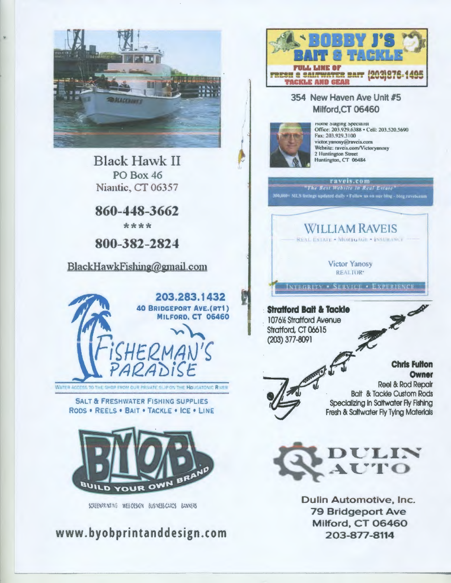

**Black Hawk II PO Box 46** Niantic, CT 06357

860-448-3662 \*\*\*\*

800-382-2824

BlackHawkFishing@gmail.com



WATER ACCESS TO THE SHOP FROM OUR PRIVATE SILP ON THE MOUSATOMIC RIVER

**SALT & FRESHWATER FISHING SUPPLIES** RODS . REELS . BAIT . TACKLE . ICE . LINE



KUENTENING WEBDESCH BUSINESSCHOS BANGRE

www.byobprintanddesign.com



#### 354 New Haven Ave Unit #5 Milford, CT 06460



riome suiging specialist Office: 203.929.6388 · Cell: 203.520.5690 Fax: 203.929.3100 victor.yanosy@raveis.com Website: raveis.com/Victoryanosy 2 Huntington Street Huntington, CT 06484

#### raveis.com

"The Best Website in Real Estate" 100,000+ MLS listings updated daily . Follow us an our blog - blog ravels.co

#### **WILLIAM RAVEIS**

REAL ESTATE . MORTGAGE . INSURANCE

**Victor Yanosy REALIOR®** 

INTEGRITY . SERVICE . EXPERIENCE.

**Stratford Bait & Tackle** 1076% Stratford Avenue Stratford, CT 06615  $(203)$  377-8091



**Reel & Rod Repair Bait & Tackle Custom Rods** Specializing in Saltwater Fly Fishing Fresh & Saltwater Fly Tying Materials



Dulin Automotive, Inc. **79 Bridgeport Ave** Milford, CT 06460 203-877-8114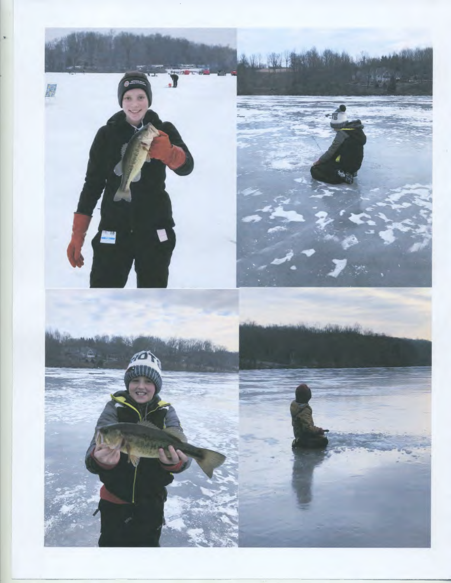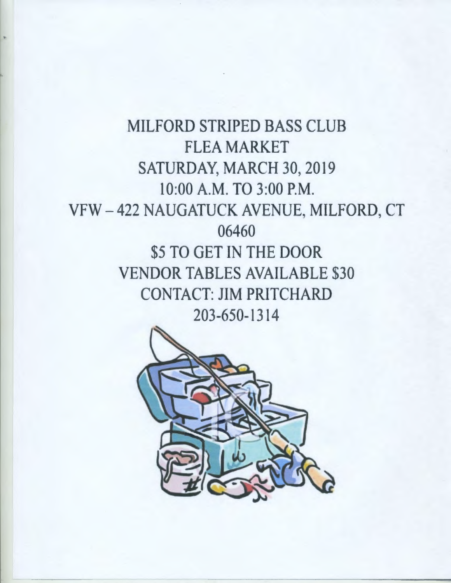MILFORD STRIPED BASS CLUB FLEA MARKET SATURDAY, MARCH 30, 2019 10:00 A.M. TO 3:00 P.M. VFW -422 NAUGATUCK AVENUE, MILFORD, CT 06460 \$5 TO GET IN THE DOOR VENDOR TABLES AVAILABLE \$30 CONTACT: JIM PRITCHARD 203-650-1314

...